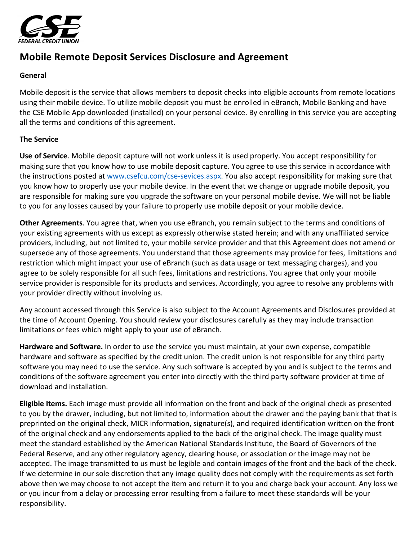

## **Mobile Remote Deposit Services Disclosure and Agreement**

## **General**

Mobile deposit is the service that allows members to deposit checks into eligible accounts from remote locations using their mobile device. To utilize mobile deposit you must be enrolled in eBranch, Mobile Banking and have the CSE Mobile App downloaded (installed) on your personal device. By enrolling in this service you are accepting all the terms and conditions of this agreement.

## **The Service**

Use of Service. Mobile deposit capture will not work unless it is used properly. You accept responsibility for making sure that you know how to use mobile deposit capture. You agree to use this service in accordance with the instructions posted at www.csefcu.com/cse-sevices.aspx. You also accept responsibility for making sure that you know how to properly use your mobile device. In the event that we change or upgrade mobile deposit, you are responsible for making sure you upgrade the software on your personal mobile devise. We will not be liable to you for any losses caused by your failure to properly use mobile deposit or your mobile device.

**Other Agreements**. You agree that, when you use eBranch, you remain subject to the terms and conditions of your existing agreements with us except as expressly otherwise stated herein; and with any unaffiliated service providers, including, but not limited to, your mobile service provider and that this Agreement does not amend or supersede any of those agreements. You understand that those agreements may provide for fees, limitations and restriction which might impact your use of eBranch (such as data usage or text messaging charges), and you agree to be solely responsible for all such fees, limitations and restrictions. You agree that only your mobile service provider is responsible for its products and services. Accordingly, you agree to resolve any problems with your provider directly without involving us.

Any account accessed through this Service is also subject to the Account Agreements and Disclosures provided at the time of Account Opening. You should review your disclosures carefully as they may include transaction limitations or fees which might apply to your use of eBranch.

Hardware and Software. In order to use the service you must maintain, at your own expense, compatible hardware and software as specified by the credit union. The credit union is not responsible for any third party software you may need to use the service. Any such software is accepted by you and is subject to the terms and conditions of the software agreement you enter into directly with the third party software provider at time of download and installation.

Eligible Items. Each image must provide all information on the front and back of the original check as presented to you by the drawer, including, but not limited to, information about the drawer and the paying bank that that is preprinted on the original check, MICR information, signature(s), and required identification written on the front of the original check and any endorsements applied to the back of the original check. The image quality must meet the standard established by the American National Standards Institute, the Board of Governors of the Federal Reserve, and any other regulatory agency, clearing house, or association or the image may not be accepted. The image transmitted to us must be legible and contain images of the front and the back of the check. If we determine in our sole discretion that any image quality does not comply with the requirements as set forth above then we may choose to not accept the item and return it to you and charge back your account. Any loss we or you incur from a delay or processing error resulting from a failure to meet these standards will be your responsibility.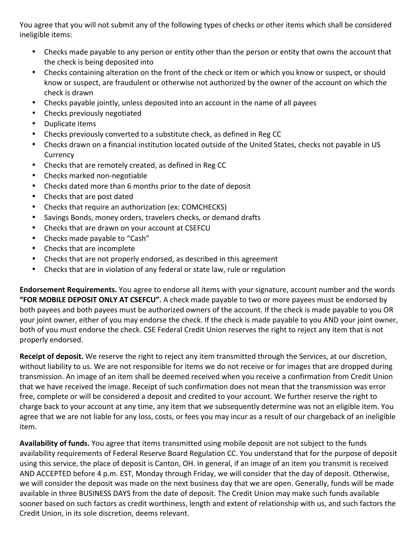You agree that you will not submit any of the following types of checks or other items which shall be considered ineligible items:

- Checks made payable to any person or entity other than the person or entity that owns the account that the check is being deposited into
- Checks containing alteration on the front of the check or item or which you know or suspect, or should know or suspect, are fraudulent or otherwise not authorized by the owner of the account on which the check is drawn
- Checks payable jointly, unless deposited into an account in the name of all payees
- Checks previously negotiated
- Duplicate items
- Checks previously converted to a substitute check, as defined in Reg CC
- Checks drawn on a financial institution located outside of the United States, checks not payable in US **Currency**
- Checks that are remotely created, as defined in Reg CC
- Checks marked non-negotiable
- Checks dated more than 6 months prior to the date of deposit
- Checks that are post dated
- Checks that require an authorization (ex: COMCHECKS)
- Savings Bonds, money orders, travelers checks, or demand drafts
- Checks that are drawn on your account at CSEFCU
- Checks made payable to "Cash"
- Checks that are incomplete
- Checks that are not properly endorsed, as described in this agreement
- Checks that are in violation of any federal or state law, rule or regulation

Endorsement Requirements. You agree to endorse all items with your signature, account number and the words "FOR MOBILE DEPOSIT ONLY AT CSEFCU". A check made payable to two or more payees must be endorsed by both payees and both payees must be authorized owners of the account. If the check is made payable to you OR your joint owner, either of you may endorse the check. If the check is made payable to you AND your joint owner, both of you must endorse the check. CSE Federal Credit Union reserves the right to reject any item that is not properly endorsed.

Receipt of deposit. We reserve the right to reject any item transmitted through the Services, at our discretion, without liability to us. We are not responsible for items we do not receive or for images that are dropped during transmission. An image of an item shall be deemed received when you receive a confirmation from Credit Union that we have received the image. Receipt of such confirmation does not mean that the transmission was error free, complete or will be considered a deposit and credited to your account. We further reserve the right to charge back to your account at any time, any item that we subsequently determine was not an eligible item. You agree that we are not liable for any loss, costs, or fees you may incur as a result of our chargeback of an ineligible item.

Availability of funds. You agree that items transmitted using mobile deposit are not subject to the funds availability requirements of Federal Reserve Board Regulation CC. You understand that for the purpose of deposit using this service, the place of deposit is Canton, OH. In general, if an image of an item you transmit is received AND ACCEPTED before 4 p.m. EST, Monday through Friday, we will consider that the day of deposit. Otherwise, we will consider the deposit was made on the next business day that we are open. Generally, funds will be made available in three BUSINESS DAYS from the date of deposit. The Credit Union may make such funds available sooner based on such factors as credit worthiness, length and extent of relationship with us, and such factors the Credit Union, in its sole discretion, deems relevant.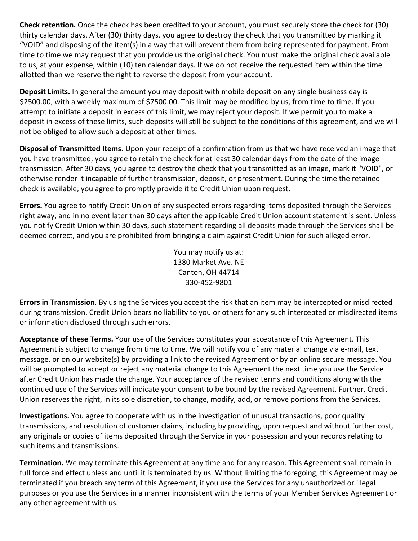**Check retention.** Once the check has been credited to your account, you must securely store the check for (30) thirty calendar days. After (30) thirty days, you agree to destroy the check that you transmitted by marking it "VOID" and disposing of the item(s) in a way that will prevent them from being represented for payment. From time to time we may request that you provide us the original check. You must make the original check available to us, at your expense, within (10) ten calendar days. If we do not receive the requested item within the time allotted than we reserve the right to reverse the deposit from your account.

Deposit Limits. In general the amount you may deposit with mobile deposit on any single business day is \$2500.00, with a weekly maximum of \$7500.00. This limit may be modified by us, from time to time. If you attempt to initiate a deposit in excess of this limit, we may reject your deposit. If we permit you to make a deposit in excess of these limits, such deposits will still be subject to the conditions of this agreement, and we will not be obliged to allow such a deposit at other times.

**Disposal of Transmitted Items.** Upon your receipt of a confirmation from us that we have received an image that you have transmitted, you agree to retain the check for at least 30 calendar days from the date of the image transmission. After 30 days, you agree to destroy the check that you transmitted as an image, mark it "VOID", or otherwise render it incapable of further transmission, deposit, or presentment. During the time the retained check is available, you agree to promptly provide it to Credit Union upon request.

Errors. You agree to notify Credit Union of any suspected errors regarding items deposited through the Services right away, and in no event later than 30 days after the applicable Credit Union account statement is sent. Unless you notify Credit Union within 30 days, such statement regarding all deposits made through the Services shall be deemed correct, and you are prohibited from bringing a claim against Credit Union for such alleged error.

> You may notify us at: 1380 Market Ave. NE Canton, OH 44714 330-452-9801

Errors in Transmission. By using the Services you accept the risk that an item may be intercepted or misdirected during transmission. Credit Union bears no liability to you or others for any such intercepted or misdirected items or information disclosed through such errors.

Acceptance of these Terms. Your use of the Services constitutes your acceptance of this Agreement. This Agreement is subject to change from time to time. We will notify you of any material change via e-mail, text message, or on our website(s) by providing a link to the revised Agreement or by an online secure message. You will be prompted to accept or reject any material change to this Agreement the next time you use the Service after Credit Union has made the change. Your acceptance of the revised terms and conditions along with the continued use of the Services will indicate your consent to be bound by the revised Agreement. Further, Credit Union reserves the right, in its sole discretion, to change, modify, add, or remove portions from the Services.

 **Investigations.** You agree to cooperate with us in the investigation of unusual transactions, poor quality transmissions, and resolution of customer claims, including by providing, upon request and without further cost, any originals or copies of items deposited through the Service in your possession and your records relating to such items and transmissions.

**Termination.** We may terminate this Agreement at any time and for any reason. This Agreement shall remain in full force and effect unless and until it is terminated by us. Without limiting the foregoing, this Agreement may be terminated if you breach any term of this Agreement, if you use the Services for any unauthorized or illegal purposes or you use the Services in a manner inconsistent with the terms of your Member Services Agreement or any other agreement with us.